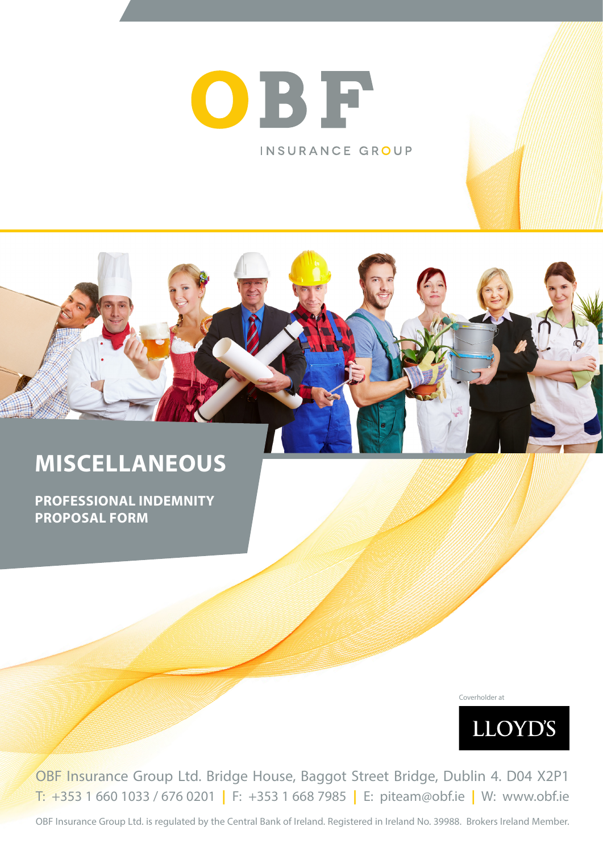

INSURANCE GROUP



# **MISCELLANEOUS**

**PROFESSIONAL INDEMNITY PROPOSAL FORM**

Coverholder at



OBF Insurance Group Ltd. Bridge House, Baggot Street Bridge, Dublin 4. D04 X2P1 T: +353 1 660 1033 / 676 0201 **|** F: +353 1 668 7985 **|** E: piteam@obf.ie **|** W: www.obf.ie

OBF Insurance Group Ltd. is regulated by the Central Bank of Ireland. Registered in Ireland No. 39988. Brokers Ireland Member.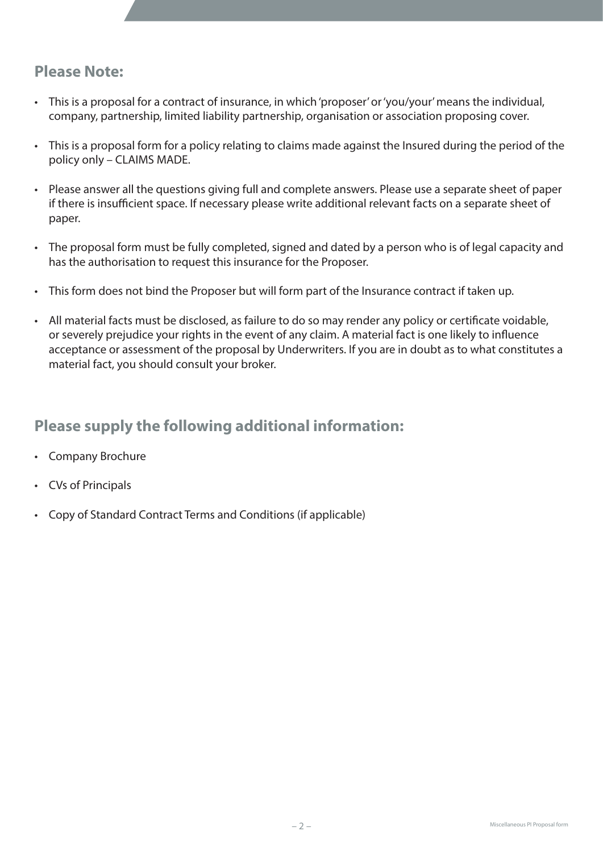### **Please Note:**

- • This is a proposal for a contract of insurance, in which'proposer'or'you/your'means the individual, company, partnership, limited liability partnership, organisation or association proposing cover.
- This is a proposal form for a policy relating to claims made against the Insured during the period of the policy only – CLAIMS MADE.
- Please answer all the questions giving full and complete answers. Please use a separate sheet of paper if there is insufficient space. If necessary please write additional relevant facts on a separate sheet of paper.
- The proposal form must be fully completed, signed and dated by a person who is of legal capacity and has the authorisation to request this insurance for the Proposer.
- This form does not bind the Proposer but will form part of the Insurance contract if taken up.
- All material facts must be disclosed, as failure to do so may render any policy or certificate voidable, or severely prejudice your rights in the event of any claim. A material fact is one likely to influence acceptance or assessment of the proposal by Underwriters. If you are in doubt as to what constitutes a material fact, you should consult your broker.

# **Please supply the following additional information:**

- • Company Brochure
- • CVs of Principals
- Copy of Standard Contract Terms and Conditions (if applicable)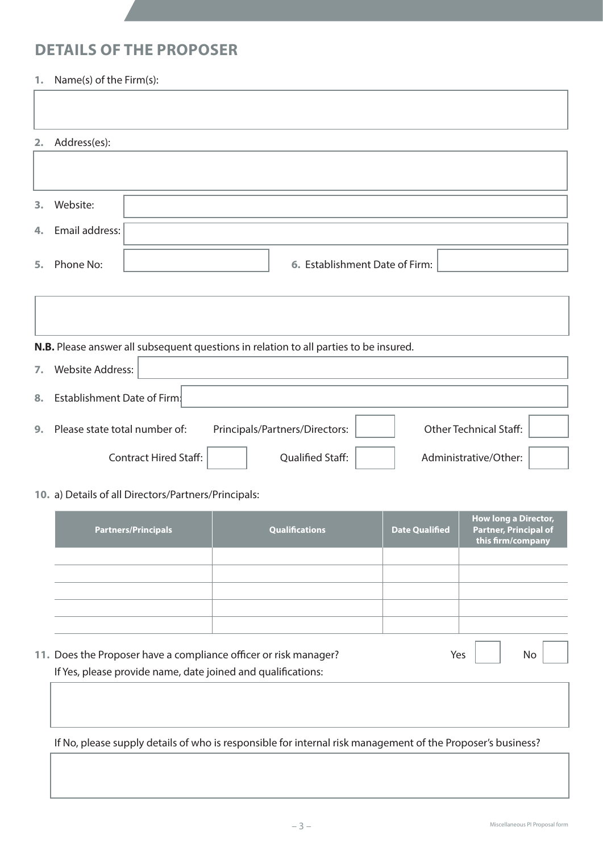### **DETAILS OF THE PROPOSER**

### **1.** Name(s) of the Firm(s):

| 2. Address(es):   |                                |
|-------------------|--------------------------------|
|                   |                                |
|                   |                                |
| 3. Website:       |                                |
|                   |                                |
| 4. Email address: |                                |
|                   |                                |
| 5. Phone No:      | 6. Establishment Date of Firm: |

|                  | N.B. Please answer all subsequent questions in relation to all parties to be insured.            |
|------------------|--------------------------------------------------------------------------------------------------|
| $\overline{7}$ . | <b>Website Address:</b>                                                                          |
| 8.               | Establishment Date of Firm.                                                                      |
| 9.               | <b>Other Technical Staff:</b><br>Please state total number of:<br>Principals/Partners/Directors: |
|                  | <b>Contract Hired Staff:</b><br><b>Qualified Staff:</b><br>Administrative/Other:                 |

### **10.** a) Details of all Directors/Partners/Principals:

| <b>Partners/Principals</b>                                       | <b>Qualifications</b> | <b>Date Qualified</b> |     | <b>How long a Director,</b><br><b>Partner, Principal of</b><br>this firm/company |  |
|------------------------------------------------------------------|-----------------------|-----------------------|-----|----------------------------------------------------------------------------------|--|
|                                                                  |                       |                       |     |                                                                                  |  |
|                                                                  |                       |                       |     |                                                                                  |  |
|                                                                  |                       |                       |     |                                                                                  |  |
|                                                                  |                       |                       |     |                                                                                  |  |
|                                                                  |                       |                       |     |                                                                                  |  |
|                                                                  |                       |                       |     |                                                                                  |  |
| 11. Does the Proposer have a compliance officer or risk manager? |                       |                       | Yes | No.                                                                              |  |

 If Yes, please provide name, date joined and qualifications:

 If No, please supply details of who is responsible for internal risk management of the Proposer's business?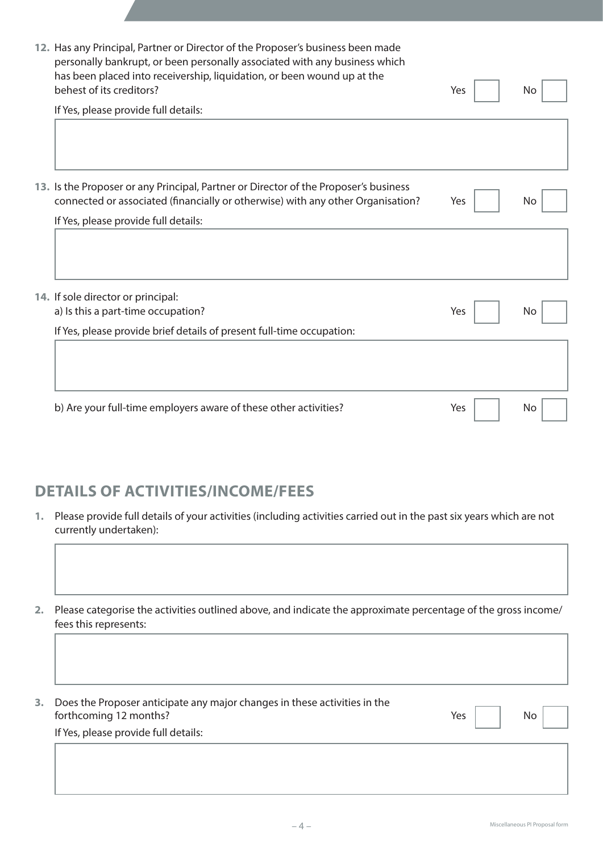| 12. Has any Principal, Partner or Director of the Proposer's business been made<br>personally bankrupt, or been personally associated with any business which<br>has been placed into receivership, liquidation, or been wound up at the<br>behest of its creditors? | Yes | No. |
|----------------------------------------------------------------------------------------------------------------------------------------------------------------------------------------------------------------------------------------------------------------------|-----|-----|
| If Yes, please provide full details:                                                                                                                                                                                                                                 |     |     |
|                                                                                                                                                                                                                                                                      |     |     |
| 13. Is the Proposer or any Principal, Partner or Director of the Proposer's business<br>connected or associated (financially or otherwise) with any other Organisation?                                                                                              | Yes | No. |
| If Yes, please provide full details:                                                                                                                                                                                                                                 |     |     |
|                                                                                                                                                                                                                                                                      |     |     |
| 14. If sole director or principal:                                                                                                                                                                                                                                   |     |     |
| a) Is this a part-time occupation?                                                                                                                                                                                                                                   | Yes | No. |
| If Yes, please provide brief details of present full-time occupation:                                                                                                                                                                                                |     |     |
|                                                                                                                                                                                                                                                                      |     |     |
| b) Are your full-time employers aware of these other activities?                                                                                                                                                                                                     | Yes | No. |

# **DETAILS OF ACTIVITIES/INCOME/FEES**

**1.** Please provide full details of your activities (including activities carried out in the past six years which are not currently undertaken):

**2.** Please categorise the activities outlined above, and indicate the approximate percentage of the gross income/ fees this represents:

| 3. | Does the Proposer anticipate any major changes in these activities in the |     |           |  |
|----|---------------------------------------------------------------------------|-----|-----------|--|
|    | forthcoming 12 months?                                                    | Yes | <b>No</b> |  |
|    | If Yes, please provide full details:                                      |     |           |  |
|    |                                                                           |     |           |  |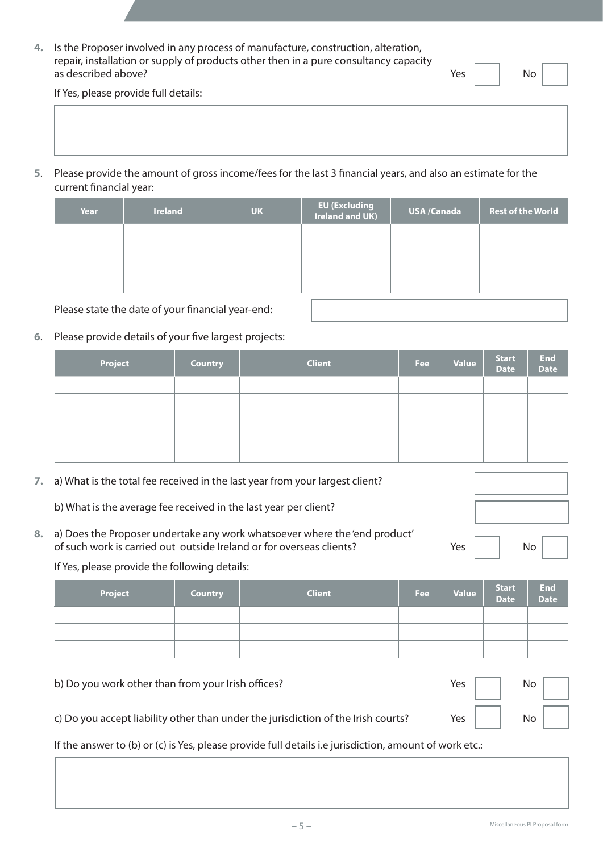**4.** Is the Proposer involved in any process of manufacture, construction, alteration, repair, installation or supply of products other then in a pure consultancy capacity as described above? No was described above?

If Yes, please provide full details:

**5**. Please provide the amount of gross income/fees for the last 3 financial years, and also an estimate for the current financial year:

| <b>Year</b> | <b>Ireland</b> | <b>UK</b> | EU (Excluding<br>Ireland and UK) | USA /Canada | <b>Rest of the World</b> |
|-------------|----------------|-----------|----------------------------------|-------------|--------------------------|
|             |                |           |                                  |             |                          |
|             |                |           |                                  |             |                          |
|             |                |           |                                  |             |                          |
|             |                |           |                                  |             |                          |

 Please state the date of your financial year-end:

**6**. Please provide details of your five largest projects:

| Project | <b>Country</b> | <b>Client</b> | <b>Fee</b> | Value | Start<br>Date | End<br>Date |
|---------|----------------|---------------|------------|-------|---------------|-------------|
|         |                |               |            |       |               |             |
|         |                |               |            |       |               |             |
|         |                |               |            |       |               |             |
|         |                |               |            |       |               |             |
|         |                |               |            |       |               |             |

**7.** a) What is the total fee received in the last year from your largest client?

 b) What is the average fee received in the last year per client?

**8.** a) Does the Proposer undertake any work whatsoever where the 'end product' of such work is carried out outside Ireland or for overseas clients? The Messon Messon No. No. No. No. No. No.

If Yes, please provide the following details:

| <b>Project</b> | <b>Country</b> | <b>Client</b> | <b>Fee</b> | Value | Start<br>Date | End<br>Date |
|----------------|----------------|---------------|------------|-------|---------------|-------------|
|                |                |               |            |       |               |             |
|                |                |               |            |       |               |             |
|                |                |               |            |       |               |             |

| b) Do you work other than from your Irish offices?                                | Yes $\vert$ | $\begin{array}{c c c c c} & & & \text{No} & \end{array}$ |
|-----------------------------------------------------------------------------------|-------------|----------------------------------------------------------|
| c) Do you accept liability other than under the jurisdiction of the Irish courts? |             | $Yes$ $No$                                               |

If the answer to (b) or (c) is Yes, please provide full details i.e jurisdiction, amount of work etc.: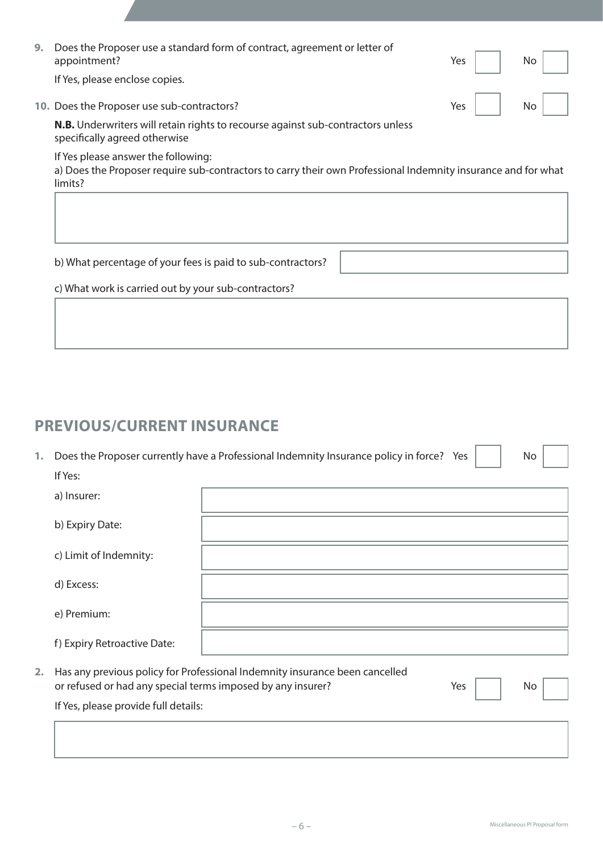| 9. | Does the Proposer use a standard form of contract, agreement or letter of<br>appointment?                               |  | Yes     No     |
|----|-------------------------------------------------------------------------------------------------------------------------|--|----------------|
|    | If Yes, please enclose copies.                                                                                          |  |                |
|    | 10. Does the Proposer use sub-contractors?                                                                              |  | $Yes  $ $No  $ |
|    | <b>N.B.</b> Underwriters will retain rights to recourse against sub-contractors unless<br>specifically agreed otherwise |  |                |

If Yes please answer the following:

a) Does the Proposer require sub-contractors to carry their own Professional Indemnity insurance and for what limits?

 b) What percentage of your fees is paid to sub-contractors? 

 c) What work is carried out by your sub-contractors?

### **PREVIOUS/CURRENT INSURANCE**

| 1. Does the Proposer currently have a Professional Indemnity Insurance policy in force? Yes $ $ | No |
|-------------------------------------------------------------------------------------------------|----|
| If Yes:                                                                                         |    |

|    | 11 123.                                                                                             |                                                                             |     |    |
|----|-----------------------------------------------------------------------------------------------------|-----------------------------------------------------------------------------|-----|----|
|    | a) Insurer:                                                                                         |                                                                             |     |    |
|    | b) Expiry Date:                                                                                     |                                                                             |     |    |
|    | c) Limit of Indemnity:                                                                              |                                                                             |     |    |
|    | d) Excess:                                                                                          |                                                                             |     |    |
|    | e) Premium:                                                                                         |                                                                             |     |    |
|    | f) Expiry Retroactive Date:                                                                         |                                                                             |     |    |
| 2. | or refused or had any special terms imposed by any insurer?<br>If Yes, please provide full details: | Has any previous policy for Professional Indemnity insurance been cancelled | Yes | No |
|    |                                                                                                     |                                                                             |     |    |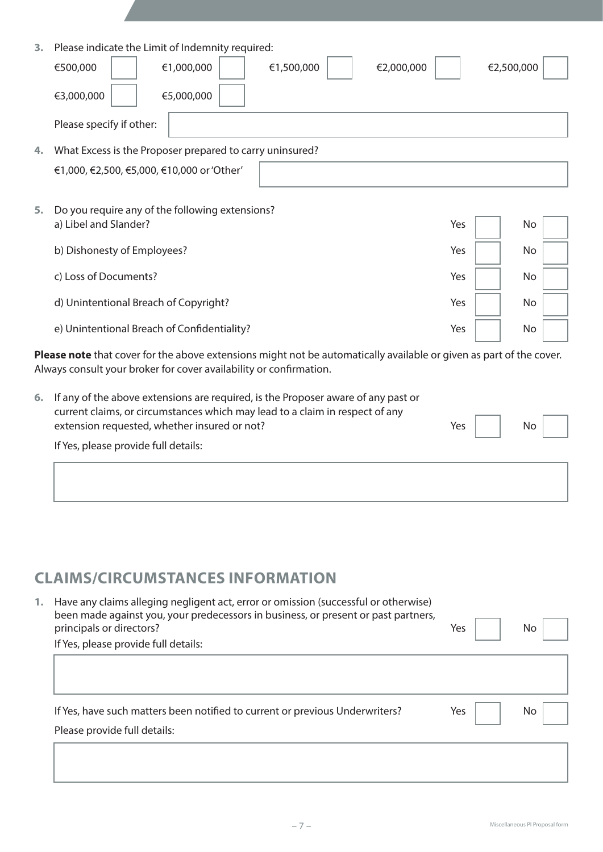| 3. | Please indicate the Limit of Indemnity required:<br>€1,000,000<br>€1,500,000<br>€2,000,000<br>€500,000<br>€3,000,000<br>€5,000,000 | €2,500,000 |  |
|----|------------------------------------------------------------------------------------------------------------------------------------|------------|--|
|    | Please specify if other:                                                                                                           |            |  |
| 4. | What Excess is the Proposer prepared to carry uninsured?                                                                           |            |  |
|    | €1,000, €2,500, €5,000, €10,000 or 'Other'                                                                                         |            |  |
|    |                                                                                                                                    |            |  |
| 5. | Do you require any of the following extensions?                                                                                    |            |  |
|    | a) Libel and Slander?<br>Yes                                                                                                       | No         |  |
|    | b) Dishonesty of Employees?<br>Yes                                                                                                 | No         |  |
|    | c) Loss of Documents?<br>Yes                                                                                                       | No         |  |
|    | d) Unintentional Breach of Copyright?<br>Yes                                                                                       | No         |  |
|    | e) Unintentional Breach of Confidentiality?<br>Yes                                                                                 | No         |  |

**Please note** that cover for the above extensions might not be automatically available or given as part of the cover. Always consult your broker for cover availability or confirmation.

| 6. If any of the above extensions are required, is the Proposer aware of any past or<br>current claims, or circumstances which may lead to a claim in respect of any |             |  |    |  |
|----------------------------------------------------------------------------------------------------------------------------------------------------------------------|-------------|--|----|--|
| extension requested, whether insured or not?                                                                                                                         | Yes $\vert$ |  | No |  |
| If Yes, please provide full details:                                                                                                                                 |             |  |    |  |
|                                                                                                                                                                      |             |  |    |  |

# **CLAIMS/CIRCUMSTANCES INFORMATION**

| Have any claims alleging negligent act, error or omission (successful or otherwise)<br>been made against you, your predecessors in business, or present or past partners,<br>principals or directors? | Yes | No. |
|-------------------------------------------------------------------------------------------------------------------------------------------------------------------------------------------------------|-----|-----|
| If Yes, please provide full details:                                                                                                                                                                  |     |     |
|                                                                                                                                                                                                       |     |     |
|                                                                                                                                                                                                       |     |     |
|                                                                                                                                                                                                       |     |     |
| If Yes, have such matters been notified to current or previous Underwriters?                                                                                                                          | Yes | No. |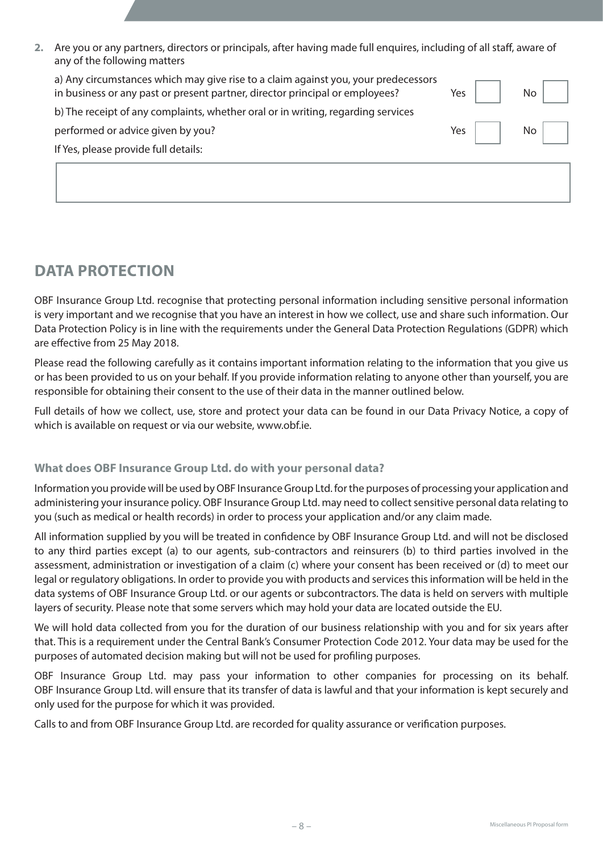**2.** Are you or any partners, directors or principals, after having made full enquires, including of all staff, aware of any of the following matters

| in business or any past or present partner, director principal or employees?     | Yes | Nο |
|----------------------------------------------------------------------------------|-----|----|
| b) The receipt of any complaints, whether oral or in writing, regarding services |     |    |
| performed or advice given by you?                                                | Yes |    |
| If Yes, please provide full details:                                             |     |    |

# **DATA PROTECTION**

OBF Insurance Group Ltd. recognise that protecting personal information including sensitive personal information is very important and we recognise that you have an interest in how we collect, use and share such information. Our Data Protection Policy is in line with the requirements under the General Data Protection Regulations (GDPR) which are effective from 25 May 2018.

Please read the following carefully as it contains important information relating to the information that you give us or has been provided to us on your behalf. If you provide information relating to anyone other than yourself, you are responsible for obtaining their consent to the use of their data in the manner outlined below.

Full details of how we collect, use, store and protect your data can be found in our Data Privacy Notice, a copy of which is available on request or via our website, www.obf.ie.

### **What does OBF Insurance Group Ltd. do with your personal data?**

Information you provide will be used by OBF Insurance Group Ltd. for the purposes of processing your application and administering your insurance policy. OBF Insurance Group Ltd. may need to collect sensitive personal data relating to you (such as medical or health records) in order to process your application and/or any claim made.

All information supplied by you will be treated in confidence by OBF Insurance Group Ltd. and will not be disclosed to any third parties except (a) to our agents, sub-contractors and reinsurers (b) to third parties involved in the assessment, administration or investigation of a claim (c) where your consent has been received or (d) to meet our legal or regulatory obligations. In order to provide you with products and services this information will be held in the data systems of OBF Insurance Group Ltd. or our agents or subcontractors. The data is held on servers with multiple layers of security. Please note that some servers which may hold your data are located outside the EU.

We will hold data collected from you for the duration of our business relationship with you and for six years after that. This is a requirement under the Central Bank's Consumer Protection Code 2012. Your data may be used for the purposes of automated decision making but will not be used for profiling purposes.

OBF Insurance Group Ltd. may pass your information to other companies for processing on its behalf. OBF Insurance Group Ltd. will ensure that its transfer of data is lawful and that your information is kept securely and only used for the purpose for which it was provided.

Calls to and from OBF Insurance Group Ltd. are recorded for quality assurance or verification purposes.